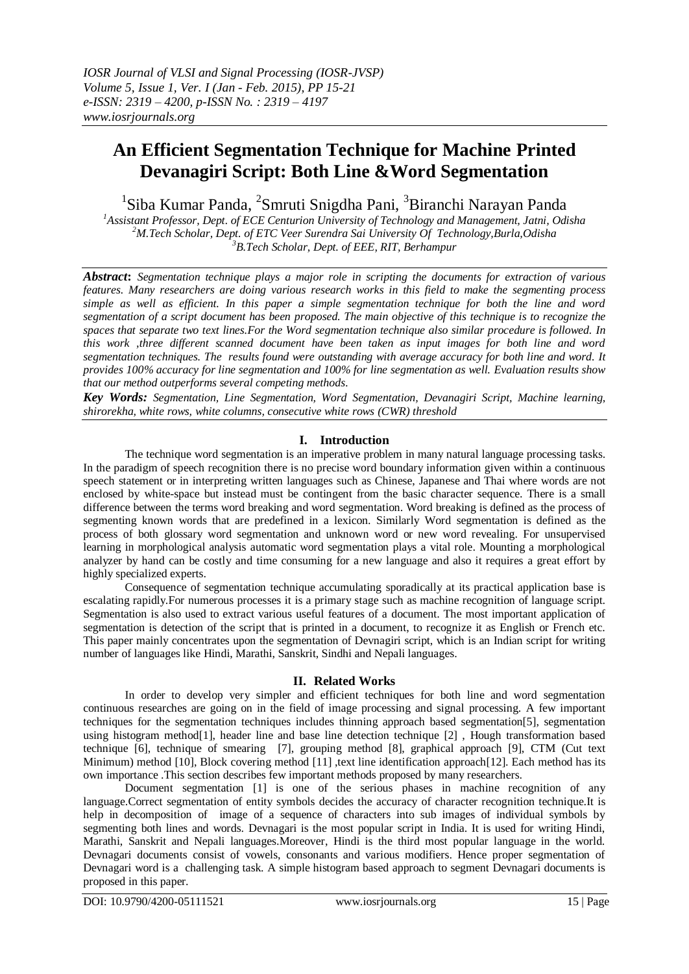# **An Efficient Segmentation Technique for Machine Printed Devanagiri Script: Both Line &Word Segmentation**

<sup>1</sup>Siba Kumar Panda, <sup>2</sup>Smruti Snigdha Pani, <sup>3</sup>Biranchi Narayan Panda

*<sup>1</sup>Assistant Professor, Dept. of ECE Centurion University of Technology and Management, Jatni, Odisha <sup>2</sup>M.Tech Scholar, Dept. of ETC Veer Surendra Sai University Of Technology,Burla,Odisha <sup>3</sup>B.Tech Scholar, Dept. of EEE, RIT, Berhampur*

*Abstract***:** *Segmentation technique plays a major role in scripting the documents for extraction of various features. Many researchers are doing various research works in this field to make the segmenting process simple as well as efficient. In this paper a simple segmentation technique for both the line and word segmentation of a script document has been proposed. The main objective of this technique is to recognize the spaces that separate two text lines.For the Word segmentation technique also similar procedure is followed. In this work ,three different scanned document have been taken as input images for both line and word segmentation techniques. The results found were outstanding with average accuracy for both line and word. It provides 100% accuracy for line segmentation and 100% for line segmentation as well. Evaluation results show that our method outperforms several competing methods.*

*Key Words: Segmentation, Line Segmentation, Word Segmentation, Devanagiri Script, Machine learning, shirorekha, white rows, white columns, consecutive white rows (CWR) threshold*

### **I. Introduction**

The technique word segmentation is an imperative problem in many natural language processing tasks. In the paradigm of speech recognition there is no precise word boundary information given within a continuous speech statement or in interpreting written languages such as Chinese, Japanese and Thai where words are not enclosed by white-space but instead must be contingent from the basic character sequence. There is a small difference between the terms word breaking and word segmentation. Word breaking is defined as the process of segmenting known words that are predefined in a lexicon. Similarly Word segmentation is defined as the process of both glossary word segmentation and unknown word or new word revealing. For unsupervised learning in morphological analysis automatic word segmentation plays a vital role. Mounting a morphological analyzer by hand can be costly and time consuming for a new language and also it requires a great effort by highly specialized experts.

Consequence of segmentation technique accumulating sporadically at its practical application base is escalating rapidly.For numerous processes it is a primary stage such as machine recognition of language script. Segmentation is also used to extract various useful features of a document. The most important application of segmentation is detection of the script that is printed in a document, to recognize it as English or French etc. This paper mainly concentrates upon the segmentation of Devnagiri script, which is an Indian script for writing number of languages like Hindi, Marathi, Sanskrit, Sindhi and Nepali languages.

### **II. Related Works**

In order to develop very simpler and efficient techniques for both line and word segmentation continuous researches are going on in the field of image processing and signal processing. A few important techniques for the segmentation techniques includes thinning approach based segmentation[5], segmentation using histogram method[1], header line and base line detection technique [2] , Hough transformation based technique [6], technique of smearing [7], grouping method [8], graphical approach [9], CTM (Cut text Minimum) method [10], Block covering method [11] ,text line identification approach[12]. Each method has its own importance .This section describes few important methods proposed by many researchers.

Document segmentation [1] is one of the serious phases in machine recognition of any language.Correct segmentation of entity symbols decides the accuracy of character recognition technique.It is help in decomposition of image of a sequence of characters into sub images of individual symbols by segmenting both lines and words. Devnagari is the most popular script in India. It is used for writing Hindi, Marathi, Sanskrit and Nepali languages.Moreover, Hindi is the third most popular language in the world. Devnagari documents consist of vowels, consonants and various modifiers. Hence proper segmentation of Devnagari word is a challenging task. A simple histogram based approach to segment Devnagari documents is proposed in this paper.

٦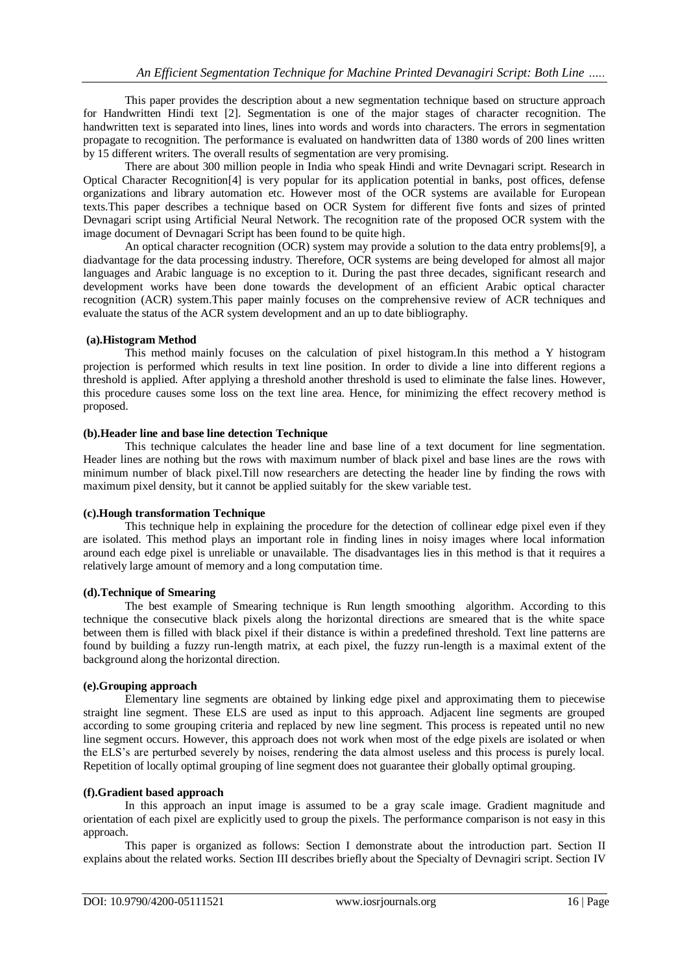This paper provides the description about a new segmentation technique based on structure approach for Handwritten Hindi text [2]. Segmentation is one of the major stages of character recognition. The handwritten text is separated into lines, lines into words and words into characters. The errors in segmentation propagate to recognition. The performance is evaluated on handwritten data of 1380 words of 200 lines written by 15 different writers. The overall results of segmentation are very promising.

There are about 300 million people in India who speak Hindi and write Devnagari script. Research in Optical Character Recognition[4] is very popular for its application potential in banks, post offices, defense organizations and library automation etc. However most of the OCR systems are available for European texts.This paper describes a technique based on OCR System for different five fonts and sizes of printed Devnagari script using Artificial Neural Network. The recognition rate of the proposed OCR system with the image document of Devnagari Script has been found to be quite high.

An optical character recognition (OCR) system may provide a solution to the data entry problems[9], a diadvantage for the data processing industry. Therefore, OCR systems are being developed for almost all major languages and Arabic language is no exception to it. During the past three decades, significant research and development works have been done towards the development of an efficient Arabic optical character recognition (ACR) system.This paper mainly focuses on the comprehensive review of ACR techniques and evaluate the status of the ACR system development and an up to date bibliography.

#### **(a).Histogram Method**

This method mainly focuses on the calculation of pixel histogram.In this method a Y histogram projection is performed which results in text line position. In order to divide a line into different regions a threshold is applied. After applying a threshold another threshold is used to eliminate the false lines. However, this procedure causes some loss on the text line area. Hence, for minimizing the effect recovery method is proposed.

#### **(b).Header line and base line detection Technique**

This technique calculates the header line and base line of a text document for line segmentation. Header lines are nothing but the rows with maximum number of black pixel and base lines are the rows with minimum number of black pixel.Till now researchers are detecting the header line by finding the rows with maximum pixel density, but it cannot be applied suitably for the skew variable test.

#### **(c).Hough transformation Technique**

This technique help in explaining the procedure for the detection of collinear edge pixel even if they are isolated. This method plays an important role in finding lines in noisy images where local information around each edge pixel is unreliable or unavailable. The disadvantages lies in this method is that it requires a relatively large amount of memory and a long computation time.

#### **(d).Technique of Smearing**

The best example of Smearing technique is Run length smoothing algorithm. According to this technique the consecutive black pixels along the horizontal directions are smeared that is the white space between them is filled with black pixel if their distance is within a predefined threshold. Text line patterns are found by building a fuzzy run-length matrix, at each pixel, the fuzzy run-length is a maximal extent of the background along the horizontal direction.

#### **(e).Grouping approach**

Elementary line segments are obtained by linking edge pixel and approximating them to piecewise straight line segment. These ELS are used as input to this approach. Adjacent line segments are grouped according to some grouping criteria and replaced by new line segment. This process is repeated until no new line segment occurs. However, this approach does not work when most of the edge pixels are isolated or when the ELS's are perturbed severely by noises, rendering the data almost useless and this process is purely local. Repetition of locally optimal grouping of line segment does not guarantee their globally optimal grouping.

#### **(f).Gradient based approach**

In this approach an input image is assumed to be a gray scale image. Gradient magnitude and orientation of each pixel are explicitly used to group the pixels. The performance comparison is not easy in this approach.

This paper is organized as follows: Section I demonstrate about the introduction part. Section II explains about the related works. Section III describes briefly about the Specialty of Devnagiri script. Section IV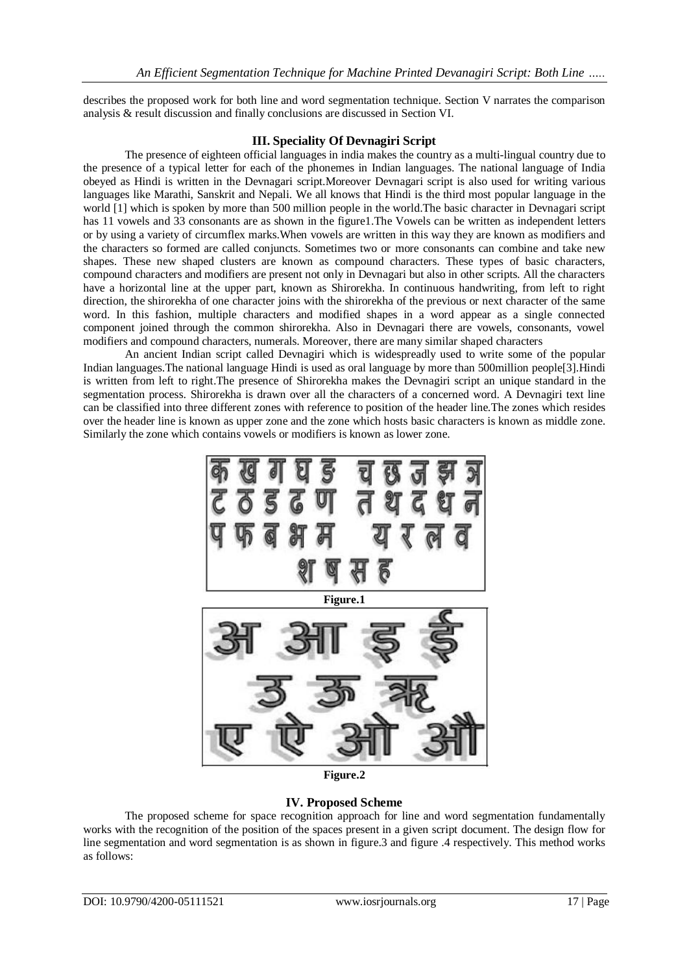describes the proposed work for both line and word segmentation technique. Section V narrates the comparison analysis & result discussion and finally conclusions are discussed in Section VI.

#### **III. Speciality Of Devnagiri Script**

The presence of eighteen official languages in india makes the country as a multi-lingual country due to the presence of a typical letter for each of the phonemes in Indian languages. The national language of India obeyed as Hindi is written in the Devnagari script.Moreover Devnagari script is also used for writing various languages like Marathi, Sanskrit and Nepali. We all knows that Hindi is the third most popular language in the world [1] which is spoken by more than 500 million people in the world.The basic character in Devnagari script has 11 vowels and 33 consonants are as shown in the figure1. The Vowels can be written as independent letters or by using a variety of circumflex marks.When vowels are written in this way they are known as modifiers and the characters so formed are called conjuncts. Sometimes two or more consonants can combine and take new shapes. These new shaped clusters are known as compound characters. These types of basic characters, compound characters and modifiers are present not only in Devnagari but also in other scripts. All the characters have a horizontal line at the upper part, known as Shirorekha. In continuous handwriting, from left to right direction, the shirorekha of one character joins with the shirorekha of the previous or next character of the same word. In this fashion, multiple characters and modified shapes in a word appear as a single connected component joined through the common shirorekha. Also in Devnagari there are vowels, consonants, vowel modifiers and compound characters, numerals. Moreover, there are many similar shaped characters

An ancient Indian script called Devnagiri which is widespreadly used to write some of the popular Indian languages.The national language Hindi is used as oral language by more than 500million people[3].Hindi is written from left to right.The presence of Shirorekha makes the Devnagiri script an unique standard in the segmentation process. Shirorekha is drawn over all the characters of a concerned word. A Devnagiri text line can be classified into three different zones with reference to position of the header line.The zones which resides over the header line is known as upper zone and the zone which hosts basic characters is known as middle zone. Similarly the zone which contains vowels or modifiers is known as lower zone.



**Figure.2**

### **IV. Proposed Scheme**

The proposed scheme for space recognition approach for line and word segmentation fundamentally works with the recognition of the position of the spaces present in a given script document. The design flow for line segmentation and word segmentation is as shown in figure.3 and figure .4 respectively. This method works as follows: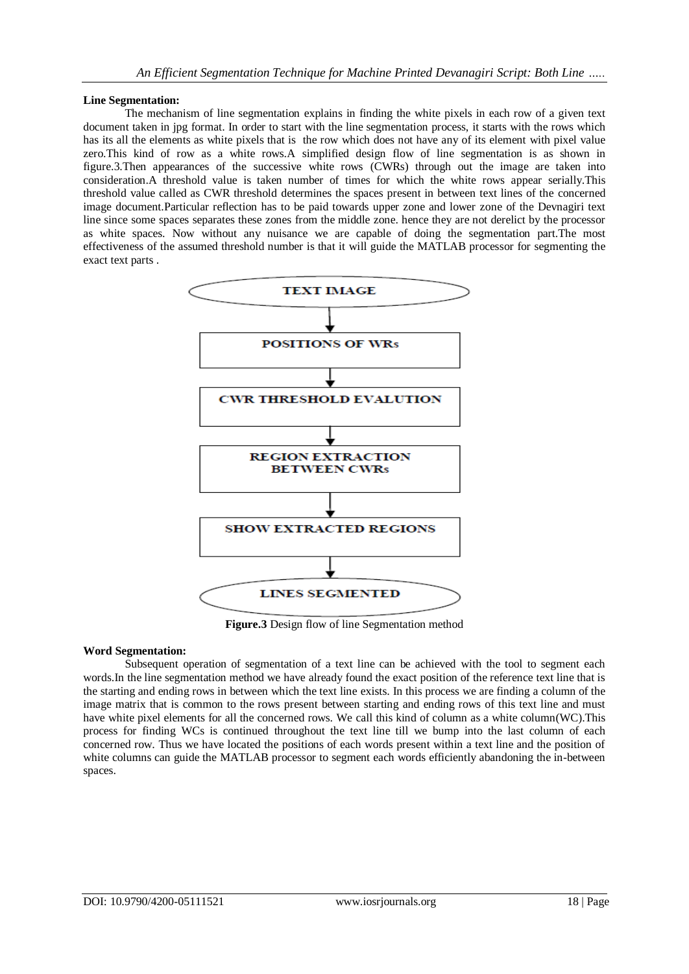#### **Line Segmentation:**

The mechanism of line segmentation explains in finding the white pixels in each row of a given text document taken in jpg format. In order to start with the line segmentation process, it starts with the rows which has its all the elements as white pixels that is the row which does not have any of its element with pixel value zero.This kind of row as a white rows.A simplified design flow of line segmentation is as shown in figure.3.Then appearances of the successive white rows (CWRs) through out the image are taken into consideration.A threshold value is taken number of times for which the white rows appear serially.This threshold value called as CWR threshold determines the spaces present in between text lines of the concerned image document.Particular reflection has to be paid towards upper zone and lower zone of the Devnagiri text line since some spaces separates these zones from the middle zone. hence they are not derelict by the processor as white spaces. Now without any nuisance we are capable of doing the segmentation part.The most effectiveness of the assumed threshold number is that it will guide the MATLAB processor for segmenting the exact text parts .



**Figure.3** Design flow of line Segmentation method

### **Word Segmentation:**

Subsequent operation of segmentation of a text line can be achieved with the tool to segment each words.In the line segmentation method we have already found the exact position of the reference text line that is the starting and ending rows in between which the text line exists. In this process we are finding a column of the image matrix that is common to the rows present between starting and ending rows of this text line and must have white pixel elements for all the concerned rows. We call this kind of column as a white column(WC).This process for finding WCs is continued throughout the text line till we bump into the last column of each concerned row. Thus we have located the positions of each words present within a text line and the position of white columns can guide the MATLAB processor to segment each words efficiently abandoning the in-between spaces.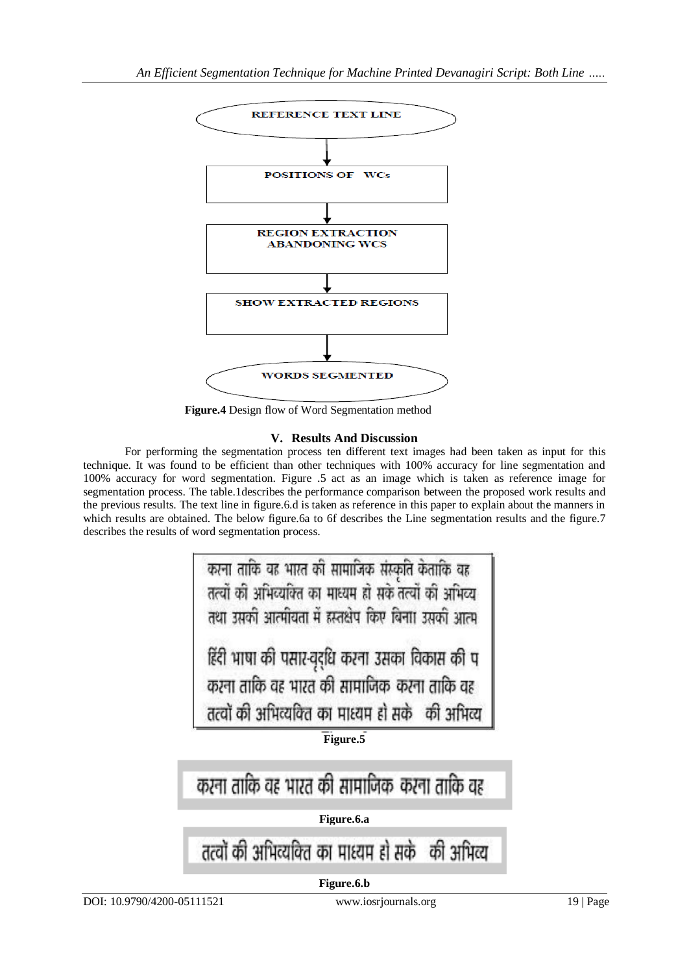

**Figure.4** Design flow of Word Segmentation method

## **V. Results And Discussion**

For performing the segmentation process ten different text images had been taken as input for this technique. It was found to be efficient than other techniques with 100% accuracy for line segmentation and 100% accuracy for word segmentation. Figure .5 act as an image which is taken as reference image for segmentation process. The table.1describes the performance comparison between the proposed work results and the previous results. The text line in figure.6.d is taken as reference in this paper to explain about the manners in which results are obtained. The below figure.6a to 6f describes the Line segmentation results and the figure.7 describes the results of word segmentation process.



तत्वों की अभिव्यक्ति का माध्यम हो सकें की अभिव्य

**Figure.6.b**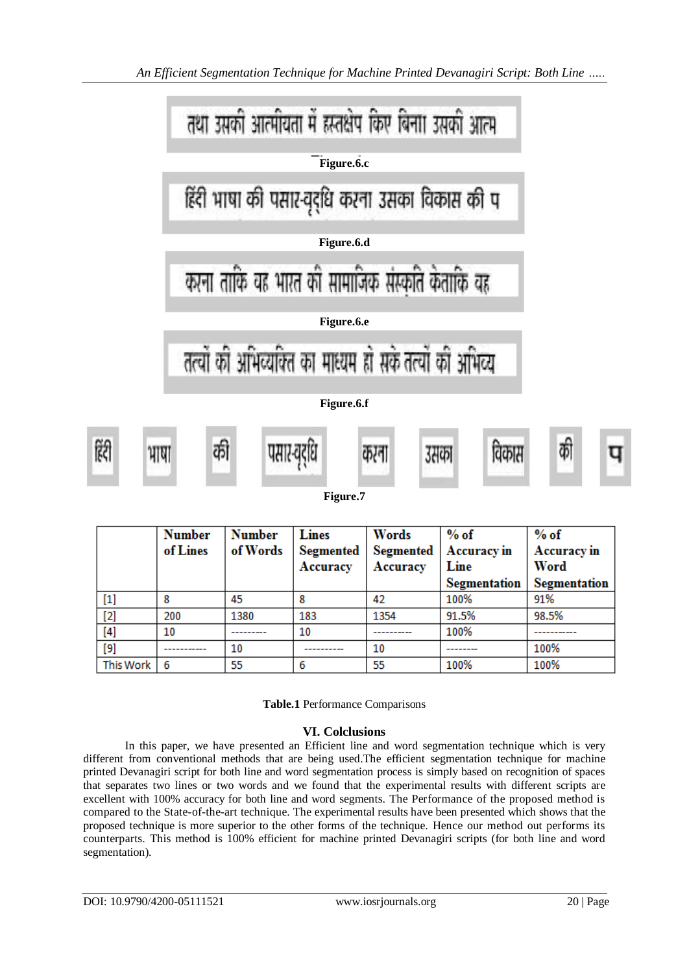

|                                                                                                                                                                                                                      | <b>Number</b><br>of Lines | <b>Number</b><br>of Words | <b>Lines</b><br>Segmented<br>Accuracy | Words<br>Accuracy | $%$ of<br>Segmented   Accuracy in<br>Line | $%$ of<br><b>Accuracy</b> in<br>Word |
|----------------------------------------------------------------------------------------------------------------------------------------------------------------------------------------------------------------------|---------------------------|---------------------------|---------------------------------------|-------------------|-------------------------------------------|--------------------------------------|
|                                                                                                                                                                                                                      |                           |                           |                                       |                   | <b>Segmentation</b>                       | <b>Segmentation</b>                  |
| $[1] % \centering \includegraphics[width=0.9\columnwidth]{figures/fig_10.pdf} \caption{The graph of the top of the top of the top of the right. The left is the number of the top of the right.} \label{fig:time} %$ |                           | 45                        | 8                                     | 42                | 100%                                      | 91%                                  |
| $[2]$                                                                                                                                                                                                                | 200                       | 1380                      | 183                                   | 1354              | 91.5%                                     | 98.5%                                |
|                                                                                                                                                                                                                      | 10                        |                           | 10                                    |                   | 100%                                      |                                      |
| $[9]$                                                                                                                                                                                                                |                           | 10                        | ----------                            | 10                | ---------                                 | 100%                                 |
| <b>This Work</b>                                                                                                                                                                                                     | 6                         | 55                        | 6                                     | 55                | 100%                                      | 100%                                 |

**Table.1** Performance Comparisons

# **VI. Colclusions**

In this paper, we have presented an Efficient line and word segmentation technique which is very different from conventional methods that are being used.The efficient segmentation technique for machine printed Devanagiri script for both line and word segmentation process is simply based on recognition of spaces that separates two lines or two words and we found that the experimental results with different scripts are excellent with 100% accuracy for both line and word segments. The Performance of the proposed method is compared to the State-of-the-art technique. The experimental results have been presented which shows that the proposed technique is more superior to the other forms of the technique. Hence our method out performs its counterparts. This method is 100% efficient for machine printed Devanagiri scripts (for both line and word segmentation).